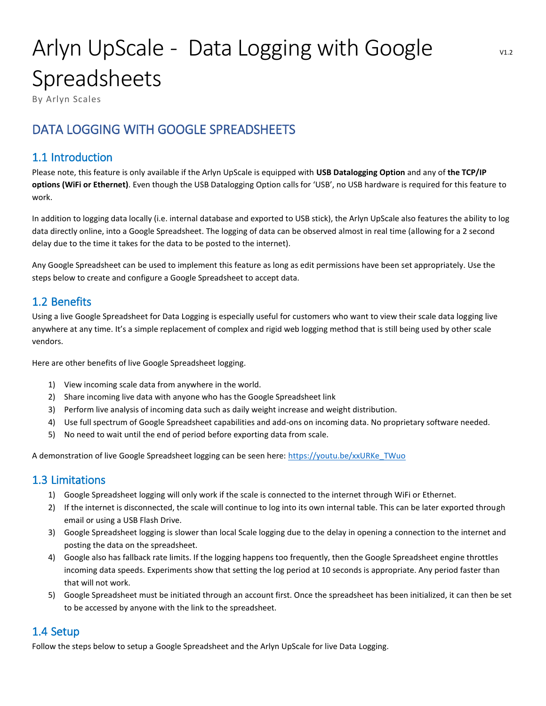# Arlyn UpScale - Data Logging with Google Spreadsheets

By Arlyn Scales

## DATA LOGGING WITH GOOGLE SPREADSHEETS

## 1.1 Introduction

Please note, this feature is only available if the Arlyn UpScale is equipped with **USB Datalogging Option** and any of **the TCP/IP options (WiFi or Ethernet)**. Even though the USB Datalogging Option calls for 'USB', no USB hardware is required for this feature to work.

In addition to logging data locally (i.e. internal database and exported to USB stick), the Arlyn UpScale also features the ability to log data directly online, into a Google Spreadsheet. The logging of data can be observed almost in real time (allowing for a 2 second delay due to the time it takes for the data to be posted to the internet).

Any Google Spreadsheet can be used to implement this feature as long as edit permissions have been set appropriately. Use the steps below to create and configure a Google Spreadsheet to accept data.

## 1.2 Benefits

Using a live Google Spreadsheet for Data Logging is especially useful for customers who want to view their scale data logging live anywhere at any time. It's a simple replacement of complex and rigid web logging method that is still being used by other scale vendors.

Here are other benefits of live Google Spreadsheet logging.

- 1) View incoming scale data from anywhere in the world.
- 2) Share incoming live data with anyone who has the Google Spreadsheet link
- 3) Perform live analysis of incoming data such as daily weight increase and weight distribution.
- 4) Use full spectrum of Google Spreadsheet capabilities and add-ons on incoming data. No proprietary software needed.
- 5) No need to wait until the end of period before exporting data from scale.

A demonstration of live Google Spreadsheet logging can be seen here: [https://youtu.be/xxURKe\\_TWuo](https://youtu.be/xxURKe_TWuo)

## 1.3 Limitations

- 1) Google Spreadsheet logging will only work if the scale is connected to the internet through WiFi or Ethernet.
- 2) If the internet is disconnected, the scale will continue to log into its own internal table. This can be later exported through email or using a USB Flash Drive.
- 3) Google Spreadsheet logging is slower than local Scale logging due to the delay in opening a connection to the internet and posting the data on the spreadsheet.
- 4) Google also has fallback rate limits. If the logging happens too frequently, then the Google Spreadsheet engine throttles incoming data speeds. Experiments show that setting the log period at 10 seconds is appropriate. Any period faster than that will not work.
- 5) Google Spreadsheet must be initiated through an account first. Once the spreadsheet has been initialized, it can then be set to be accessed by anyone with the link to the spreadsheet.

## 1.4 Setup

Follow the steps below to setup a Google Spreadsheet and the Arlyn UpScale for live Data Logging.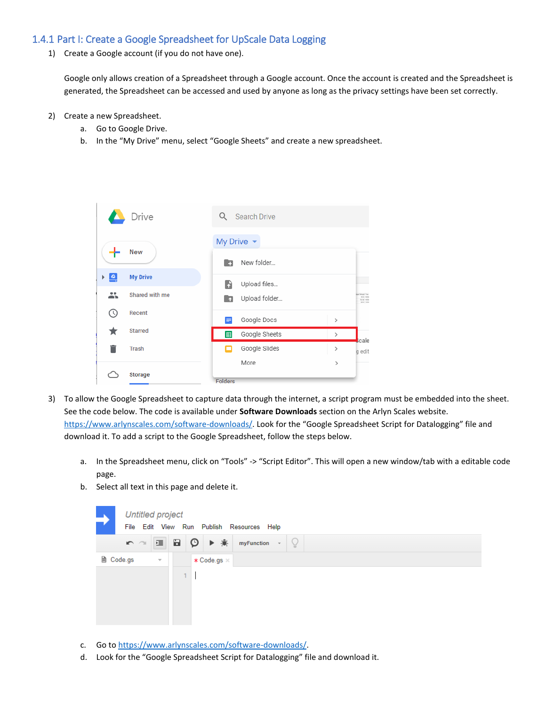#### 1.4.1 Part I: Create a Google Spreadsheet for UpScale Data Logging

1) Create a Google account (if you do not have one).

Google only allows creation of a Spreadsheet through a Google account. Once the account is created and the Spreadsheet is generated, the Spreadsheet can be accessed and used by anyone as long as the privacy settings have been set correctly.

- 2) Create a new Spreadsheet.
	- a. Go to Google Drive.
	- b. In the "My Drive" menu, select "Google Sheets" and create a new spreadsheet.



- 3) To allow the Google Spreadsheet to capture data through the internet, a script program must be embedded into the sheet. See the code below. The code is available under **Software Downloads** section on the Arlyn Scales website. <https://www.arlynscales.com/software-downloads/>. Look for the "Google Spreadsheet Script for Datalogging" file and download it. To add a script to the Google Spreadsheet, follow the steps below.
	- a. In the Spreadsheet menu, click on "Tools" -> "Script Editor". This will open a new window/tab with a editable code page.
	- b. Select all text in this page and delete it.



- c. Go t[o https://www.arlynscales.com/software-downloads/.](https://www.arlynscales.com/software-downloads/)
- d. Look for the "Google Spreadsheet Script for Datalogging" file and download it.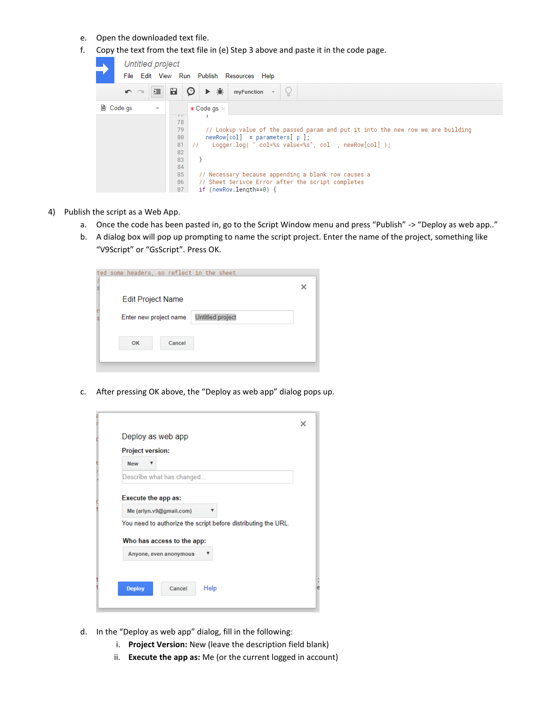- e. Open the downloaded text file.
- f. Copy the text from the text file in (e) Step 3 above and paste it in the code page.

|                                  | <b>Untitled project</b> |   |                  |                                                      |         |                                           |   |                                                                                 |  |  |
|----------------------------------|-------------------------|---|------------------|------------------------------------------------------|---------|-------------------------------------------|---|---------------------------------------------------------------------------------|--|--|
|                                  |                         |   |                  |                                                      |         | File Edit View Run Publish Resources Help |   |                                                                                 |  |  |
|                                  | n a                     | 逼 | Ы                | O                                                    | 赛<br>▶. | myFunction                                | Ō |                                                                                 |  |  |
| ■ Code.gs<br>$\overline{\nabla}$ |                         |   |                  | $*$ Code.gs $*$                                      |         |                                           |   |                                                                                 |  |  |
|                                  |                         |   | $\sqrt{1}$<br>78 |                                                      |         |                                           |   |                                                                                 |  |  |
|                                  |                         |   | 79               |                                                      |         |                                           |   | // Lookup value of the passed param and put it into the new row we are building |  |  |
| 80<br>81                         |                         |   |                  | $newRow[col] = parameters[ p ]$                      |         |                                           |   |                                                                                 |  |  |
|                                  |                         |   |                  | Logger.log( " col=%s value=%s", col , newRow[col] ); |         |                                           |   |                                                                                 |  |  |
|                                  |                         |   | 82               |                                                      |         |                                           |   |                                                                                 |  |  |
|                                  | 83                      |   |                  |                                                      |         |                                           |   |                                                                                 |  |  |
|                                  |                         |   | 84               |                                                      |         |                                           |   |                                                                                 |  |  |
|                                  |                         |   | 85               |                                                      |         |                                           |   | // Necessary because appending a blank row causes a                             |  |  |
|                                  |                         |   | 86               |                                                      |         |                                           |   | // Sheet Serivce Error after the script completes                               |  |  |
|                                  |                         |   | 87               |                                                      |         | if (newRow.length== $0$ ) {               |   |                                                                                 |  |  |

- 4) Publish the script as a Web App.
	- a. Once the code has been pasted in, go to the Script Window menu and press "Publish" -> "Deploy as web app.."
	- b. A dialog box will pop up prompting to name the script project. Enter the name of the project, something like "V9Script" or "GsScript". Press OK.

| ted some headers, so reflect in the sheet |        |                         |  |
|-------------------------------------------|--------|-------------------------|--|
| <b>Edit Project Name</b>                  |        |                         |  |
| Enter new project name                    |        | <b>Untitled project</b> |  |
| <b>OK</b>                                 | Cancel |                         |  |
|                                           |        |                         |  |

c. After pressing OK above, the "Deploy as web app" dialog pops up.

|                         | Deploy as web app                                             |
|-------------------------|---------------------------------------------------------------|
| <b>Project version:</b> |                                                               |
| <b>New</b>              |                                                               |
|                         | Describe what has changed                                     |
| Execute the app as:     |                                                               |
|                         | Me (arlyn.v9@gmail.com)                                       |
|                         | You need to authorize the script before distributing the URL. |
|                         |                                                               |
|                         | Who has access to the app:                                    |
|                         |                                                               |
|                         | Anyone, even anonymous                                        |
|                         |                                                               |
|                         |                                                               |

- d. In the "Deploy as web app" dialog, fill in the following:
	- i. **Project Version:** New (leave the description field blank)
	- ii. **Execute the app as:** Me (or the current logged in account)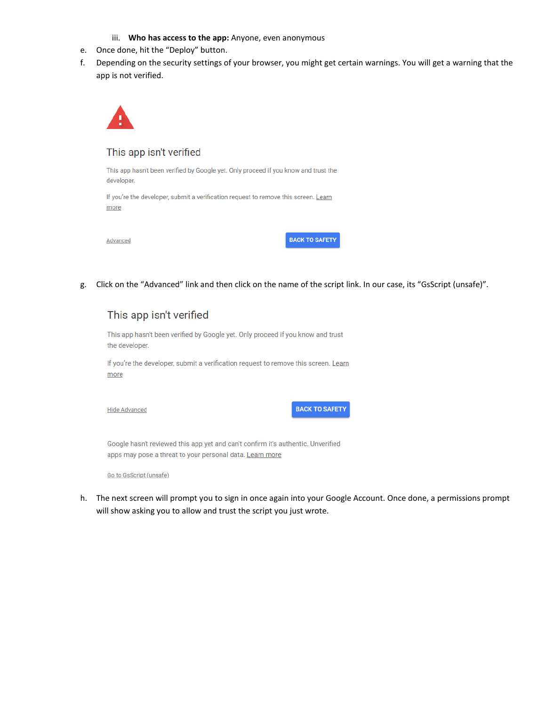- iii. **Who has access to the app:** Anyone, even anonymous
- e. Once done, hit the "Deploy" button.
- f. Depending on the security settings of your browser, you might get certain warnings. You will get a warning that the app is not verified.



#### This app isn't verified

This app hasn't been verified by Google yet. Only proceed if you know and trust the developer.

If you're the developer, submit a verification request to remove this screen. Learn more

**BACK TO SAFETY** 

g. Click on the "Advanced" link and then click on the name of the script link. In our case, its "GsScript (unsafe)".

## This app isn't verified

This app hasn't been verified by Google yet. Only proceed if you know and trust the developer.

If you're the developer, submit a verification request to remove this screen. Learn more

**Hide Advanced** 

**BACK TO SAFETY** 

Google hasn't reviewed this app yet and can't confirm it's authentic. Unverified apps may pose a threat to your personal data. Learn more

Go to GsScript (unsafe)

h. The next screen will prompt you to sign in once again into your Google Account. Once done, a permissions prompt will show asking you to allow and trust the script you just wrote.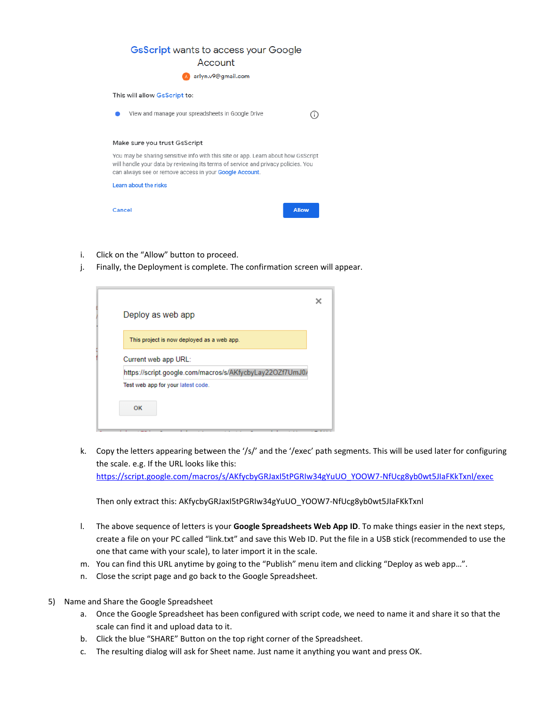| <b>GsScript wants to access your Google</b><br>Account                                                                                                                                                                                    |   |  |  |  |  |  |  |
|-------------------------------------------------------------------------------------------------------------------------------------------------------------------------------------------------------------------------------------------|---|--|--|--|--|--|--|
| arlyn.v9@gmail.com                                                                                                                                                                                                                        |   |  |  |  |  |  |  |
| This will allow GsScript to:                                                                                                                                                                                                              |   |  |  |  |  |  |  |
| View and manage your spreadsheets in Google Drive                                                                                                                                                                                         | Œ |  |  |  |  |  |  |
| Make sure you trust GsScript                                                                                                                                                                                                              |   |  |  |  |  |  |  |
| You may be sharing sensitive info with this site or app. Learn about how GsScript<br>will handle your data by reviewing its terms of service and privacy policies. You<br>can always see or remove access in your <b>Google Account</b> . |   |  |  |  |  |  |  |
| Learn about the risks                                                                                                                                                                                                                     |   |  |  |  |  |  |  |
| Allow<br>Cancel                                                                                                                                                                                                                           |   |  |  |  |  |  |  |

- i. Click on the "Allow" button to proceed.
- j. Finally, the Deployment is complete. The confirmation screen will appear.

| Deploy as web app<br>This project is now deployed as a web app.                  |  |  |  |  |  |
|----------------------------------------------------------------------------------|--|--|--|--|--|
|                                                                                  |  |  |  |  |  |
|                                                                                  |  |  |  |  |  |
|                                                                                  |  |  |  |  |  |
| Current web app URL:<br>https://script.google.com/macros/s/AKfycbyLay22OZf7UmJ0/ |  |  |  |  |  |
| Test web app for your latest code.                                               |  |  |  |  |  |

k. Copy the letters appearing between the '/s/' and the '/exec' path segments. This will be used later for configuring the scale. e.g. If the URL looks like this:

[https://script.google.com/macros/s/AKfycbyGRJaxI5tPGRIw34gYuUO\\_YOOW7-NfUcg8yb0wt5JIaFKkTxnl/exec](https://script.google.com/macros/s/AKfycbyGRJaxI5tPGRIw34gYuUO_YOOW7-NfUcg8yb0wt5JIaFKkTxnl/exec)

Then only extract this: AKfycbyGRJaxI5tPGRIw34gYuUO\_YOOW7-NfUcg8yb0wt5JIaFKkTxnl

- l. The above sequence of letters is your **Google Spreadsheets Web App ID**. To make things easier in the next steps, create a file on your PC called "link.txt" and save this Web ID. Put the file in a USB stick (recommended to use the one that came with your scale), to later import it in the scale.
- m. You can find this URL anytime by going to the "Publish" menu item and clicking "Deploy as web app…".
- n. Close the script page and go back to the Google Spreadsheet.
- 5) Name and Share the Google Spreadsheet
	- a. Once the Google Spreadsheet has been configured with script code, we need to name it and share it so that the scale can find it and upload data to it.
	- b. Click the blue "SHARE" Button on the top right corner of the Spreadsheet.
	- c. The resulting dialog will ask for Sheet name. Just name it anything you want and press OK.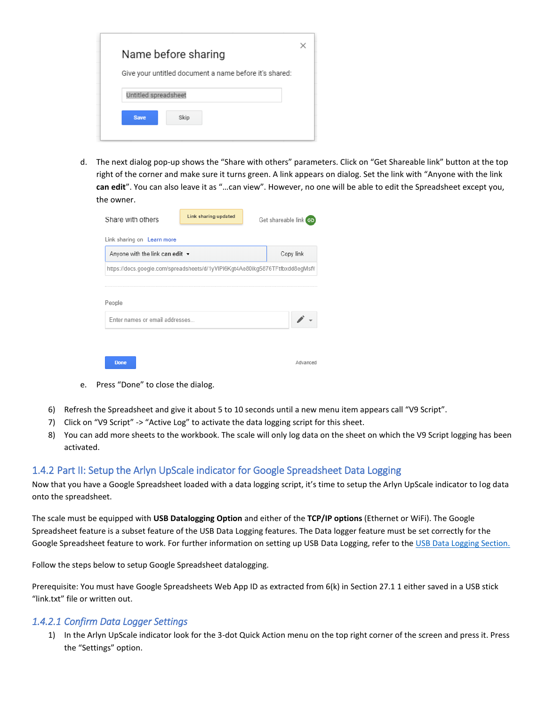| Give your untitled document a name before it's shared:<br>Untitled spreadsheet |
|--------------------------------------------------------------------------------|
|                                                                                |
|                                                                                |
|                                                                                |

d. The next dialog pop-up shows the "Share with others" parameters. Click on "Get Shareable link" button at the top right of the corner and make sure it turns green. A link appears on dialog. Set the link with "Anyone with the link **can edit**". You can also leave it as "…can view". However, no one will be able to edit the Spreadsheet except you, the owner.

| Share with others                                                            | Link sharing updated |  | Get shareable link |  |  |  |  |  |
|------------------------------------------------------------------------------|----------------------|--|--------------------|--|--|--|--|--|
| Link sharing on Learn more                                                   |                      |  |                    |  |  |  |  |  |
| Anyone with the link can edit $\star$                                        |                      |  | Copy link          |  |  |  |  |  |
| https://docs.google.com/spreadsheets/d/1yVIPi6Kgt4Ae80ikg5876TFtfbxdd8egMsfV |                      |  |                    |  |  |  |  |  |
| People<br>Enter names or email addresses                                     |                      |  |                    |  |  |  |  |  |
| <b>Done</b>                                                                  |                      |  | Advanced           |  |  |  |  |  |

- e. Press "Done" to close the dialog.
- 6) Refresh the Spreadsheet and give it about 5 to 10 seconds until a new menu item appears call "V9 Script".
- 7) Click on "V9 Script" -> "Active Log" to activate the data logging script for this sheet.
- 8) You can add more sheets to the workbook. The scale will only log data on the sheet on which the V9 Script logging has been activated.

#### 1.4.2 Part II: Setup the Arlyn UpScale indicator for Google Spreadsheet Data Logging

Now that you have a Google Spreadsheet loaded with a data logging script, it's time to setup the Arlyn UpScale indicator to log data onto the spreadsheet.

The scale must be equipped with **USB Datalogging Option** and either of the **TCP/IP options** (Ethernet or WiFi). The Google Spreadsheet feature is a subset feature of the USB Data Logging features. The Data logger feature must be set correctly for the Google Spreadsheet feature to work. For further information on setting up USB Data Logging, refer to the USB Data Logging Section.

Follow the steps below to setup Google Spreadsheet datalogging.

Prerequisite: You must have Google Spreadsheets Web App ID as extracted from 6(k) in Section 27.1 1 either saved in a USB stick "link.txt" file or written out.

#### *1.4.2.1 Confirm Data Logger Settings*

1) In the Arlyn UpScale indicator look for the 3-dot Quick Action menu on the top right corner of the screen and press it. Press the "Settings" option.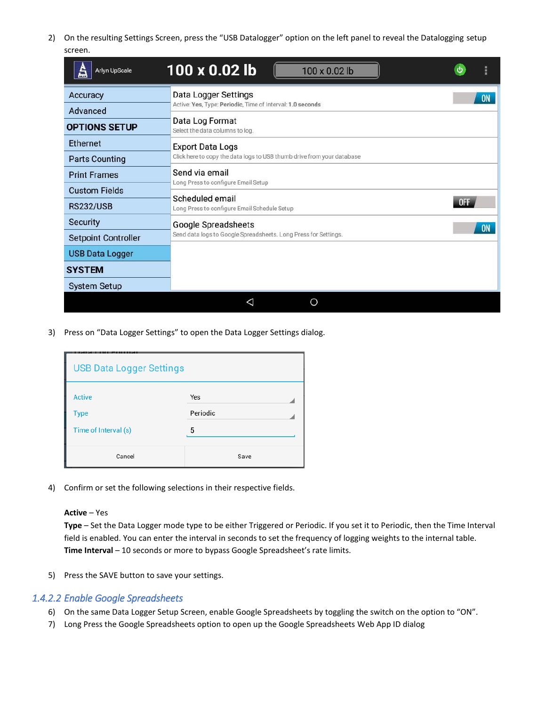2) On the resulting Settings Screen, press the "USB Datalogger" option on the left panel to reveal the Datalogging setup screen.

| <b>Arlyn UpScale</b><br>£  | 100 x 0.02 lb<br>100 x 0.02 lb                                         |  |           |  |  |  |  |  |
|----------------------------|------------------------------------------------------------------------|--|-----------|--|--|--|--|--|
| Accuracy                   | Data Logger Settings                                                   |  | <b>ON</b> |  |  |  |  |  |
| Advanced                   | Active: Yes, Type: Periodic, Time of Interval: 1.0 seconds             |  |           |  |  |  |  |  |
| <b>OPTIONS SETUP</b>       | Data Log Format<br>Select the data columns to log.                     |  |           |  |  |  |  |  |
| <b>Ethernet</b>            | <b>Export Data Logs</b>                                                |  |           |  |  |  |  |  |
| <b>Parts Counting</b>      | Click here to copy the data logs to USB thumb drive from your database |  |           |  |  |  |  |  |
| <b>Print Frames</b>        | Send via email<br>Long Press to configure Email Setup                  |  |           |  |  |  |  |  |
| <b>Custom Fields</b>       |                                                                        |  |           |  |  |  |  |  |
| <b>RS232/USB</b>           | Scheduled email<br>0FF<br>Long Press to configure Email Schedule Setup |  |           |  |  |  |  |  |
| <b>Security</b>            | Google Spreadsheets<br><b>ON</b>                                       |  |           |  |  |  |  |  |
| <b>Setpoint Controller</b> | Send data logs to Google Spreadsheets. Long Press for Settings.        |  |           |  |  |  |  |  |
| <b>USB Data Logger</b>     |                                                                        |  |           |  |  |  |  |  |
| <b>SYSTEM</b>              |                                                                        |  |           |  |  |  |  |  |
| <b>System Setup</b>        |                                                                        |  |           |  |  |  |  |  |
|                            | ◯<br>◁                                                                 |  |           |  |  |  |  |  |

3) Press on "Data Logger Settings" to open the Data Logger Settings dialog.

| <b>USB Data Logger Settings</b>               |                      |  |  |  |  |  |
|-----------------------------------------------|----------------------|--|--|--|--|--|
| Active<br><b>Type</b><br>Time of Interval (s) | Yes<br>Periodic<br>5 |  |  |  |  |  |
| Cancel                                        | Save                 |  |  |  |  |  |

4) Confirm or set the following selections in their respective fields.

#### **Active** – Yes

**Type** – Set the Data Logger mode type to be either Triggered or Periodic. If you set it to Periodic, then the Time Interval field is enabled. You can enter the interval in seconds to set the frequency of logging weights to the internal table. **Time Interval** – 10 seconds or more to bypass Google Spreadsheet's rate limits.

5) Press the SAVE button to save your settings.

#### *1.4.2.2 Enable Google Spreadsheets*

- 6) On the same Data Logger Setup Screen, enable Google Spreadsheets by toggling the switch on the option to "ON".
- 7) Long Press the Google Spreadsheets option to open up the Google Spreadsheets Web App ID dialog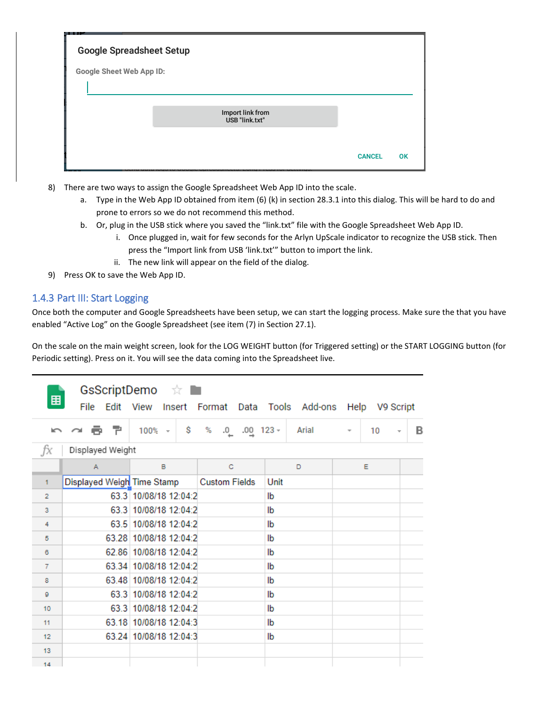| Google Spreadsheet Setup |                                    |               |    |
|--------------------------|------------------------------------|---------------|----|
| Google Sheet Web App ID: |                                    |               |    |
|                          |                                    |               |    |
|                          | Import link from<br>USB "link.txt" |               |    |
|                          |                                    |               |    |
|                          |                                    | <b>CANCEL</b> | OK |

- 8) There are two ways to assign the Google Spreadsheet Web App ID into the scale.
	- a. Type in the Web App ID obtained from item (6) (k) in section 28.3.1 into this dialog. This will be hard to do and prone to errors so we do not recommend this method.
	- b. Or, plug in the USB stick where you saved the "link.txt" file with the Google Spreadsheet Web App ID.
		- i. Once plugged in, wait for few seconds for the Arlyn UpScale indicator to recognize the USB stick. Then press the "Import link from USB 'link.txt'" button to import the link.
		- ii. The new link will appear on the field of the dialog.
- 9) Press OK to save the Web App ID.

### 1.4.3 Part III: Start Logging

Once both the computer and Google Spreadsheets have been setup, we can start the logging process. Make sure the that you have enabled "Active Log" on the Google Spreadsheet (see item (7) in Section 27.1).

On the scale on the main weight screen, look for the LOG WEIGHT button (for Triggered setting) or the START LOGGING button (for Periodic setting). Press on it. You will see the data coming into the Spreadsheet live.

| GsScriptDemo ☆ ■<br>囲<br>Edit View Insert Format Data Tools Add-ons Help V9 Script<br>File |                            |                        |                          |       |                                |                               |  |
|--------------------------------------------------------------------------------------------|----------------------------|------------------------|--------------------------|-------|--------------------------------|-------------------------------|--|
| $\sim$                                                                                     | 6 P.<br>$\sim$             | \$<br>$100% -$         | %<br>$.00$ 123 $-$<br>.0 | Arial | 10<br>$\overline{\phantom{a}}$ | в<br>$\overline{\phantom{a}}$ |  |
| ĴХ                                                                                         | Displayed Weight           |                        |                          |       |                                |                               |  |
|                                                                                            | A                          | в                      | c                        | D     | Е                              |                               |  |
| 1.                                                                                         | Displayed Weigh Time Stamp |                        | <b>Custom Fields</b>     | Unit  |                                |                               |  |
| $\overline{2}$                                                                             |                            | 63.3 10/08/18 12:04:2  |                          | lb    |                                |                               |  |
| 3                                                                                          |                            | 63 3 10/08/18 12:04:2  |                          | lb    |                                |                               |  |
| 4                                                                                          |                            | 63.5 10/08/18 12:04:2  |                          | lb    |                                |                               |  |
| 5                                                                                          |                            | 63.28 10/08/18 12:04:2 |                          | lb    |                                |                               |  |
| 6                                                                                          |                            | 62.86 10/08/18 12:04:2 |                          | lb    |                                |                               |  |
| 7                                                                                          |                            | 63.34 10/08/18 12:04:2 |                          | lb    |                                |                               |  |
| 8                                                                                          |                            | 63.48 10/08/18 12:04:2 |                          | lb    |                                |                               |  |
| ō                                                                                          |                            | 63 3 10/08/18 12:04:2  |                          | lb    |                                |                               |  |
| 10                                                                                         |                            | 63.3 10/08/18 12:04:2  |                          | lb    |                                |                               |  |
| 11                                                                                         |                            | 63.18 10/08/18 12:04:3 |                          | lb    |                                |                               |  |
| 12                                                                                         |                            | 63.24 10/08/18 12:04:3 |                          | lb    |                                |                               |  |
| 13                                                                                         |                            |                        |                          |       |                                |                               |  |
| 14                                                                                         |                            |                        |                          |       |                                |                               |  |